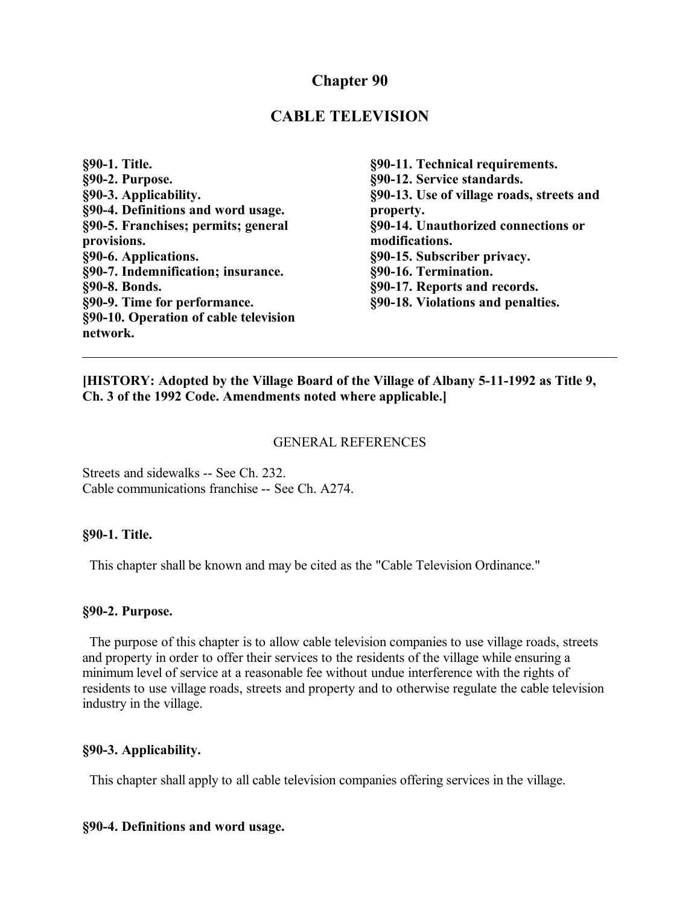## **Chapter 90**

## **CABLE TELEVISION**

| §90-1. Title.                         |
|---------------------------------------|
| §90-2. Purpose.                       |
| §90-3. Applicability.                 |
| §90-4. Definitions and word usage.    |
| §90-5. Franchises; permits; general   |
| provisions.                           |
| §90-6. Applications.                  |
| §90-7. Indemnification; insurance.    |
| §90-8. Bonds.                         |
| §90-9. Time for performance.          |
| §90-10. Operation of cable television |
| network.                              |

**§90-11. Technical requirements. §90-12. Service standards. §90-13. Use of village roads, streets and property. §90-14. Unauthorized connections or modifications. §90-15. Subscriber privacy. §90-16. Termination. §90-17. Reports and records. §90-18. Violations and penalties.**

**[HISTORY: Adopted by the Village Board of the Village of Albany 5-11-1992 as Title 9, Ch. 3 of the 1992 Code. Amendments noted where applicable.]**

#### GENERAL REFERENCES

Streets and sidewalks -- See Ch. 232. Cable communications franchise -- See Ch. A274.

#### **§90-1. Title.**

This chapter shall be known and may be cited as the "Cable Television Ordinance."

#### **§90-2. Purpose.**

 The purpose of this chapter is to allow cable television companies to use village roads, streets and property in order to offer their services to the residents of the village while ensuring a minimum level of service at a reasonable fee without undue interference with the rights of residents to use village roads, streets and property and to otherwise regulate the cable television industry in the village.

#### **§90-3. Applicability.**

This chapter shall apply to all cable television companies offering services in the village.

#### **§90-4. Definitions and word usage.**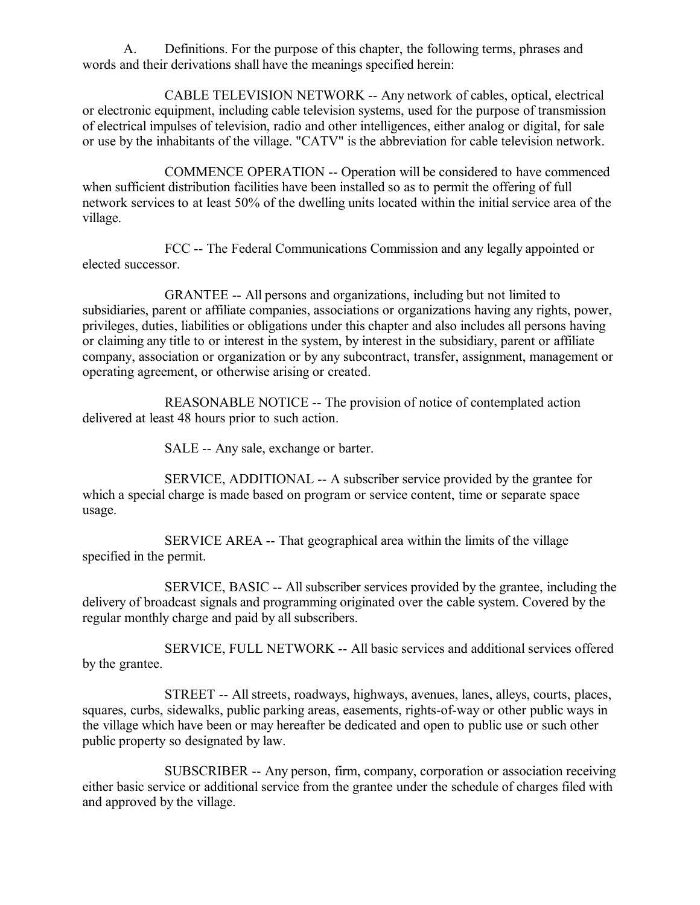A. Definitions. For the purpose of this chapter, the following terms, phrases and words and their derivations shall have the meanings specified herein:

CABLE TELEVISION NETWORK -- Any network of cables, optical, electrical or electronic equipment, including cable television systems, used for the purpose of transmission of electrical impulses of television, radio and other intelligences, either analog or digital, for sale or use by the inhabitants of the village. "CATV" is the abbreviation for cable television network.

COMMENCE OPERATION -- Operation will be considered to have commenced when sufficient distribution facilities have been installed so as to permit the offering of full network services to at least 50% of the dwelling units located within the initial service area of the village.

FCC -- The Federal Communications Commission and any legally appointed or elected successor.

GRANTEE -- All persons and organizations, including but not limited to subsidiaries, parent or affiliate companies, associations or organizations having any rights, power, privileges, duties, liabilities or obligations under this chapter and also includes all persons having or claiming any title to or interest in the system, by interest in the subsidiary, parent or affiliate company, association or organization or by any subcontract, transfer, assignment, management or operating agreement, or otherwise arising or created.

REASONABLE NOTICE -- The provision of notice of contemplated action delivered at least 48 hours prior to such action.

SALE -- Any sale, exchange or barter.

SERVICE, ADDITIONAL -- A subscriber service provided by the grantee for which a special charge is made based on program or service content, time or separate space usage.

SERVICE AREA -- That geographical area within the limits of the village specified in the permit.

SERVICE, BASIC -- All subscriber services provided by the grantee, including the delivery of broadcast signals and programming originated over the cable system. Covered by the regular monthly charge and paid by all subscribers.

SERVICE, FULL NETWORK -- All basic services and additional services offered by the grantee.

STREET -- All streets, roadways, highways, avenues, lanes, alleys, courts, places, squares, curbs, sidewalks, public parking areas, easements, rights-of-way or other public ways in the village which have been or may hereafter be dedicated and open to public use or such other public property so designated by law.

SUBSCRIBER -- Any person, firm, company, corporation or association receiving either basic service or additional service from the grantee under the schedule of charges filed with and approved by the village.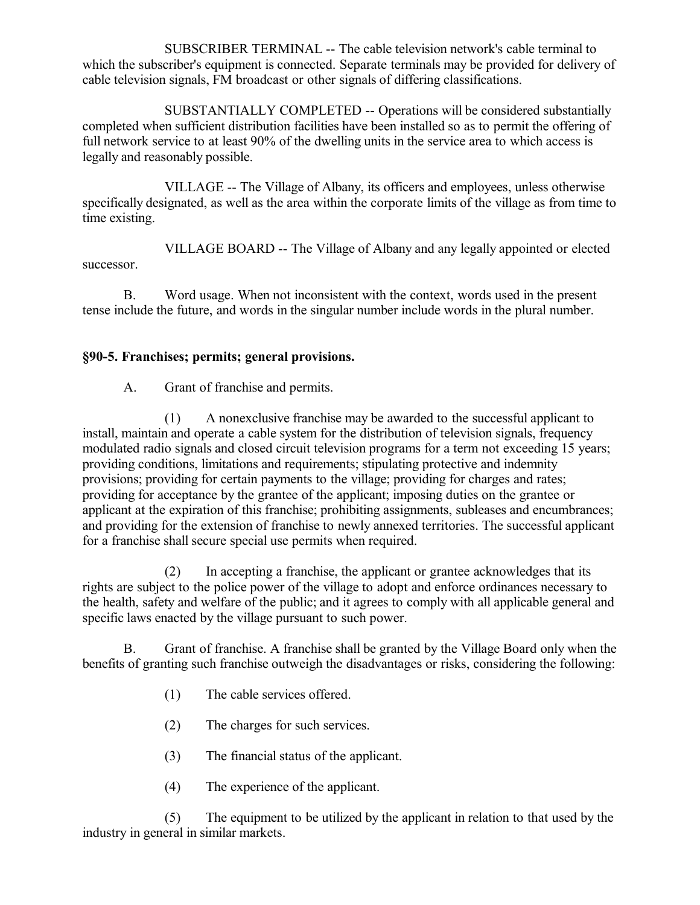SUBSCRIBER TERMINAL -- The cable television network's cable terminal to which the subscriber's equipment is connected. Separate terminals may be provided for delivery of cable television signals, FM broadcast or other signals of differing classifications.

SUBSTANTIALLY COMPLETED -- Operations will be considered substantially completed when sufficient distribution facilities have been installed so as to permit the offering of full network service to at least 90% of the dwelling units in the service area to which access is legally and reasonably possible.

VILLAGE -- The Village of Albany, its officers and employees, unless otherwise specifically designated, as well as the area within the corporate limits of the village as from time to time existing.

VILLAGE BOARD -- The Village of Albany and any legally appointed or elected successor.

B. Word usage. When not inconsistent with the context, words used in the present tense include the future, and words in the singular number include words in the plural number.

## **§90-5. Franchises; permits; general provisions.**

A. Grant of franchise and permits.

(1) A nonexclusive franchise may be awarded to the successful applicant to install, maintain and operate a cable system for the distribution of television signals, frequency modulated radio signals and closed circuit television programs for a term not exceeding 15 years; providing conditions, limitations and requirements; stipulating protective and indemnity provisions; providing for certain payments to the village; providing for charges and rates; providing for acceptance by the grantee of the applicant; imposing duties on the grantee or applicant at the expiration of this franchise; prohibiting assignments, subleases and encumbrances; and providing for the extension of franchise to newly annexed territories. The successful applicant for a franchise shall secure special use permits when required.

(2) In accepting a franchise, the applicant or grantee acknowledges that its rights are subject to the police power of the village to adopt and enforce ordinances necessary to the health, safety and welfare of the public; and it agrees to comply with all applicable general and specific laws enacted by the village pursuant to such power.

B. Grant of franchise. A franchise shall be granted by the Village Board only when the benefits of granting such franchise outweigh the disadvantages or risks, considering the following:

- (1) The cable services offered.
- (2) The charges for such services.
- (3) The financial status of the applicant.
- (4) The experience of the applicant.

(5) The equipment to be utilized by the applicant in relation to that used by the industry in general in similar markets.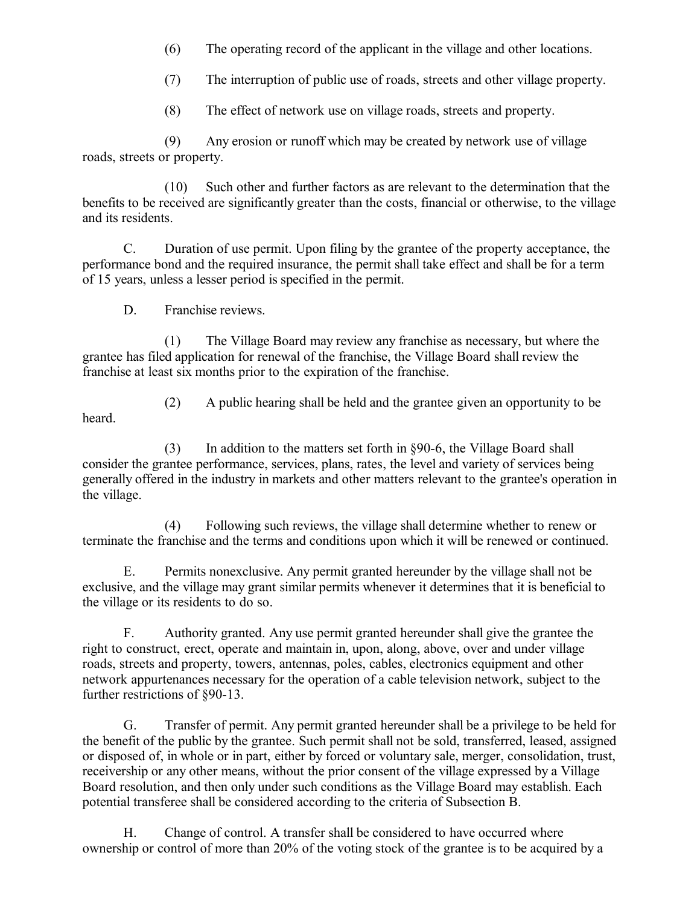(6) The operating record of the applicant in the village and other locations.

(7) The interruption of public use of roads, streets and other village property.

(8) The effect of network use on village roads, streets and property.

(9) Any erosion or runoff which may be created by network use of village roads, streets or property.

(10) Such other and further factors as are relevant to the determination that the benefits to be received are significantly greater than the costs, financial or otherwise, to the village and its residents.

C. Duration of use permit. Upon filing by the grantee of the property acceptance, the performance bond and the required insurance, the permit shall take effect and shall be for a term of 15 years, unless a lesser period is specified in the permit.

D. Franchise reviews.

(1) The Village Board may review any franchise as necessary, but where the grantee has filed application for renewal of the franchise, the Village Board shall review the franchise at least six months prior to the expiration of the franchise.

heard.

(2) A public hearing shall be held and the grantee given an opportunity to be

(3) In addition to the matters set forth in §90-6, the Village Board shall consider the grantee performance, services, plans, rates, the level and variety of services being generally offered in the industry in markets and other matters relevant to the grantee's operation in the village.

(4) Following such reviews, the village shall determine whether to renew or terminate the franchise and the terms and conditions upon which it will be renewed or continued.

E. Permits nonexclusive. Any permit granted hereunder by the village shall not be exclusive, and the village may grant similar permits whenever it determines that it is beneficial to the village or its residents to do so.

F. Authority granted. Any use permit granted hereunder shall give the grantee the right to construct, erect, operate and maintain in, upon, along, above, over and under village roads, streets and property, towers, antennas, poles, cables, electronics equipment and other network appurtenances necessary for the operation of a cable television network, subject to the further restrictions of §90-13.

G. Transfer of permit. Any permit granted hereunder shall be a privilege to be held for the benefit of the public by the grantee. Such permit shall not be sold, transferred, leased, assigned or disposed of, in whole or in part, either by forced or voluntary sale, merger, consolidation, trust, receivership or any other means, without the prior consent of the village expressed by a Village Board resolution, and then only under such conditions as the Village Board may establish. Each potential transferee shall be considered according to the criteria of Subsection B.

H. Change of control. A transfer shall be considered to have occurred where ownership or control of more than 20% of the voting stock of the grantee is to be acquired by a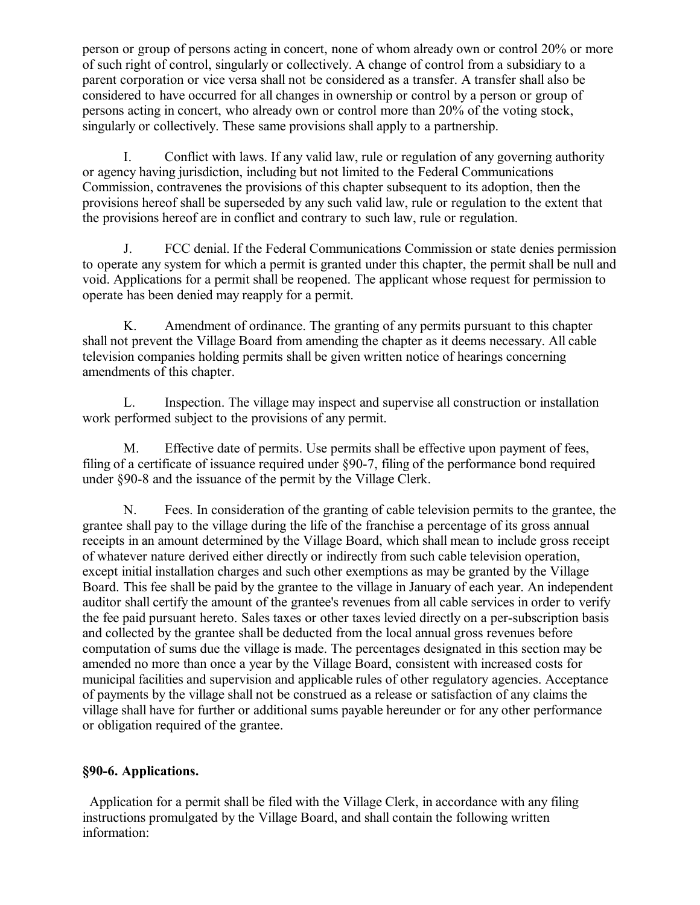person or group of persons acting in concert, none of whom already own or control 20% or more of such right of control, singularly or collectively. A change of control from a subsidiary to a parent corporation or vice versa shall not be considered as a transfer. A transfer shall also be considered to have occurred for all changes in ownership or control by a person or group of persons acting in concert, who already own or control more than 20% of the voting stock, singularly or collectively. These same provisions shall apply to a partnership.

I. Conflict with laws. If any valid law, rule or regulation of any governing authority or agency having jurisdiction, including but not limited to the Federal Communications Commission, contravenes the provisions of this chapter subsequent to its adoption, then the provisions hereof shall be superseded by any such valid law, rule or regulation to the extent that the provisions hereof are in conflict and contrary to such law, rule or regulation.

J. FCC denial. If the Federal Communications Commission or state denies permission to operate any system for which a permit is granted under this chapter, the permit shall be null and void. Applications for a permit shall be reopened. The applicant whose request for permission to operate has been denied may reapply for a permit.

K. Amendment of ordinance. The granting of any permits pursuant to this chapter shall not prevent the Village Board from amending the chapter as it deems necessary. All cable television companies holding permits shall be given written notice of hearings concerning amendments of this chapter.

L. Inspection. The village may inspect and supervise all construction or installation work performed subject to the provisions of any permit.

M. Effective date of permits. Use permits shall be effective upon payment of fees, filing of a certificate of issuance required under §90-7, filing of the performance bond required under §90-8 and the issuance of the permit by the Village Clerk.

N. Fees. In consideration of the granting of cable television permits to the grantee, the grantee shall pay to the village during the life of the franchise a percentage of its gross annual receipts in an amount determined by the Village Board, which shall mean to include gross receipt of whatever nature derived either directly or indirectly from such cable television operation, except initial installation charges and such other exemptions as may be granted by the Village Board. This fee shall be paid by the grantee to the village in January of each year. An independent auditor shall certify the amount of the grantee's revenues from all cable services in order to verify the fee paid pursuant hereto. Sales taxes or other taxes levied directly on a per-subscription basis and collected by the grantee shall be deducted from the local annual gross revenues before computation of sums due the village is made. The percentages designated in this section may be amended no more than once a year by the Village Board, consistent with increased costs for municipal facilities and supervision and applicable rules of other regulatory agencies. Acceptance of payments by the village shall not be construed as a release or satisfaction of any claims the village shall have for further or additional sums payable hereunder or for any other performance or obligation required of the grantee.

### **§90-6. Applications.**

 Application for a permit shall be filed with the Village Clerk, in accordance with any filing instructions promulgated by the Village Board, and shall contain the following written information: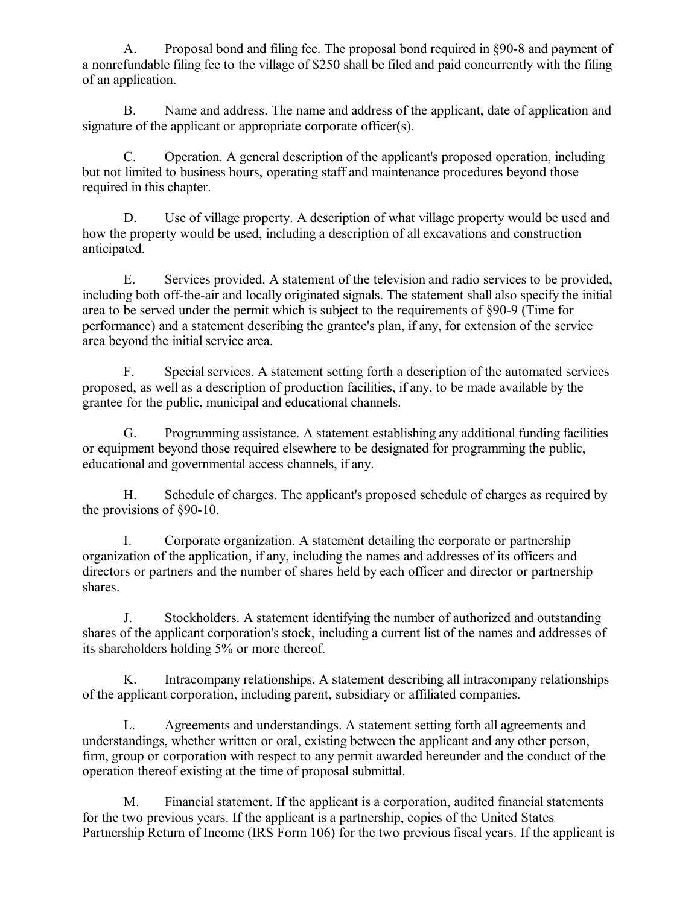A. Proposal bond and filing fee. The proposal bond required in §90-8 and payment of a nonrefundable filing fee to the village of \$250 shall be filed and paid concurrently with the filing of an application.

B. Name and address. The name and address of the applicant, date of application and signature of the applicant or appropriate corporate officer(s).

C. Operation. A general description of the applicant's proposed operation, including but not limited to business hours, operating staff and maintenance procedures beyond those required in this chapter.

D. Use of village property. A description of what village property would be used and how the property would be used, including a description of all excavations and construction anticipated.

E. Services provided. A statement of the television and radio services to be provided, including both off-the-air and locally originated signals. The statement shall also specify the initial area to be served under the permit which is subject to the requirements of §90-9 (Time for performance) and a statement describing the grantee's plan, if any, for extension of the service area beyond the initial service area.

F. Special services. A statement setting forth a description of the automated services proposed, as well as a description of production facilities, if any, to be made available by the grantee for the public, municipal and educational channels.

G. Programming assistance. A statement establishing any additional funding facilities or equipment beyond those required elsewhere to be designated for programming the public, educational and governmental access channels, if any.

H. Schedule of charges. The applicant's proposed schedule of charges as required by the provisions of §90-10.

I. Corporate organization. A statement detailing the corporate or partnership organization of the application, if any, including the names and addresses of its officers and directors or partners and the number of shares held by each officer and director or partnership shares.

J. Stockholders. A statement identifying the number of authorized and outstanding shares of the applicant corporation's stock, including a current list of the names and addresses of its shareholders holding 5% or more thereof.

K. Intracompany relationships. A statement describing all intracompany relationships of the applicant corporation, including parent, subsidiary or affiliated companies.

L. Agreements and understandings. A statement setting forth all agreements and understandings, whether written or oral, existing between the applicant and any other person, firm, group or corporation with respect to any permit awarded hereunder and the conduct of the operation thereof existing at the time of proposal submittal.

M. Financial statement. If the applicant is a corporation, audited financial statements for the two previous years. If the applicant is a partnership, copies of the United States Partnership Return of Income (IRS Form 106) for the two previous fiscal years. If the applicant is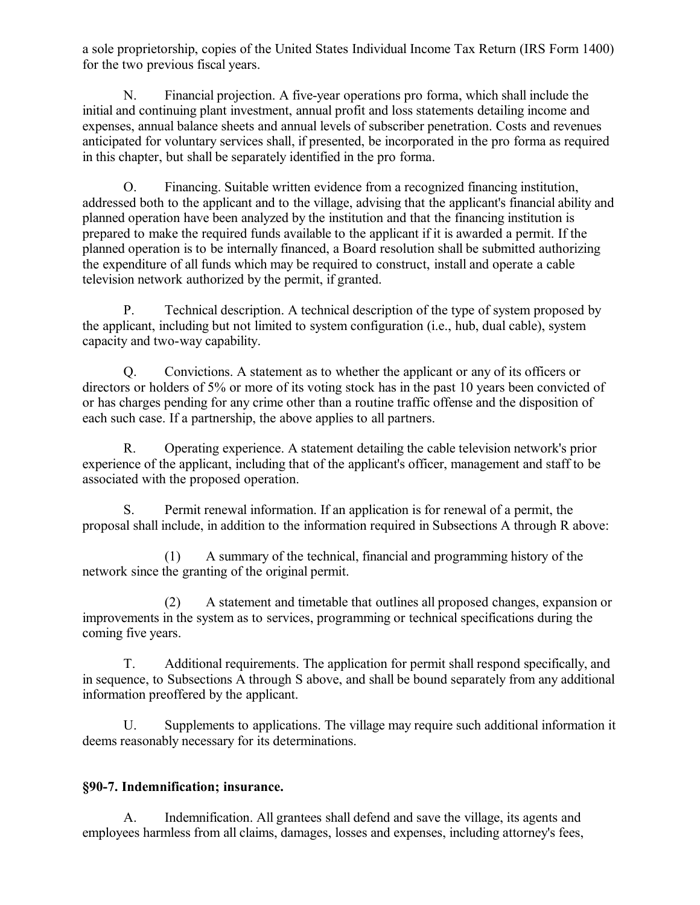a sole proprietorship, copies of the United States Individual Income Tax Return (IRS Form 1400) for the two previous fiscal years.

N. Financial projection. A five-year operations pro forma, which shall include the initial and continuing plant investment, annual profit and loss statements detailing income and expenses, annual balance sheets and annual levels of subscriber penetration. Costs and revenues anticipated for voluntary services shall, if presented, be incorporated in the pro forma as required in this chapter, but shall be separately identified in the pro forma.

O. Financing. Suitable written evidence from a recognized financing institution, addressed both to the applicant and to the village, advising that the applicant's financial ability and planned operation have been analyzed by the institution and that the financing institution is prepared to make the required funds available to the applicant if it is awarded a permit. If the planned operation is to be internally financed, a Board resolution shall be submitted authorizing the expenditure of all funds which may be required to construct, install and operate a cable television network authorized by the permit, if granted.

P. Technical description. A technical description of the type of system proposed by the applicant, including but not limited to system configuration (i.e., hub, dual cable), system capacity and two-way capability.

Q. Convictions. A statement as to whether the applicant or any of its officers or directors or holders of 5% or more of its voting stock has in the past 10 years been convicted of or has charges pending for any crime other than a routine traffic offense and the disposition of each such case. If a partnership, the above applies to all partners.

R. Operating experience. A statement detailing the cable television network's prior experience of the applicant, including that of the applicant's officer, management and staff to be associated with the proposed operation.

S. Permit renewal information. If an application is for renewal of a permit, the proposal shall include, in addition to the information required in Subsections A through R above:

(1) A summary of the technical, financial and programming history of the network since the granting of the original permit.

(2) A statement and timetable that outlines all proposed changes, expansion or improvements in the system as to services, programming or technical specifications during the coming five years.

T. Additional requirements. The application for permit shall respond specifically, and in sequence, to Subsections A through S above, and shall be bound separately from any additional information preoffered by the applicant.

U. Supplements to applications. The village may require such additional information it deems reasonably necessary for its determinations.

### **§90-7. Indemnification; insurance.**

A. Indemnification. All grantees shall defend and save the village, its agents and employees harmless from all claims, damages, losses and expenses, including attorney's fees,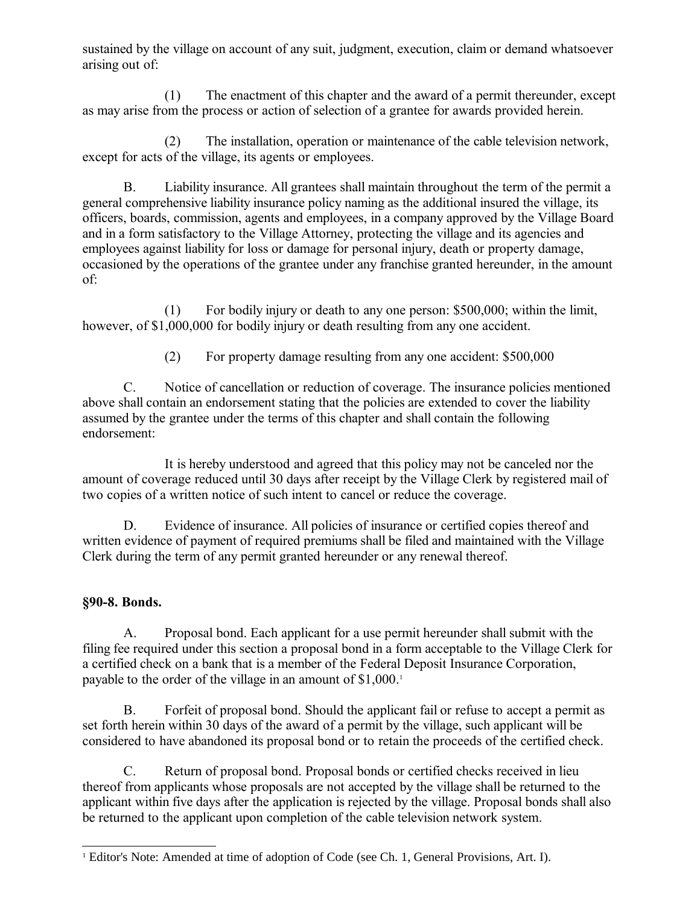sustained by the village on account of any suit, judgment, execution, claim or demand whatsoever arising out of:

(1) The enactment of this chapter and the award of a permit thereunder, except as may arise from the process or action of selection of a grantee for awards provided herein.

(2) The installation, operation or maintenance of the cable television network, except for acts of the village, its agents or employees.

B. Liability insurance. All grantees shall maintain throughout the term of the permit a general comprehensive liability insurance policy naming as the additional insured the village, its officers, boards, commission, agents and employees, in a company approved by the Village Board and in a form satisfactory to the Village Attorney, protecting the village and its agencies and employees against liability for loss or damage for personal injury, death or property damage, occasioned by the operations of the grantee under any franchise granted hereunder, in the amount of:

(1) For bodily injury or death to any one person: \$500,000; within the limit, however, of \$1,000,000 for bodily injury or death resulting from any one accident.

(2) For property damage resulting from any one accident: \$500,000

C. Notice of cancellation or reduction of coverage. The insurance policies mentioned above shall contain an endorsement stating that the policies are extended to cover the liability assumed by the grantee under the terms of this chapter and shall contain the following endorsement:

It is hereby understood and agreed that this policy may not be canceled nor the amount of coverage reduced until 30 days after receipt by the Village Clerk by registered mail of two copies of a written notice of such intent to cancel or reduce the coverage.

D. Evidence of insurance. All policies of insurance or certified copies thereof and written evidence of payment of required premiums shall be filed and maintained with the Village Clerk during the term of any permit granted hereunder or any renewal thereof.

# **§90-8. Bonds.**

A. Proposal bond. Each applicant for a use permit hereunder shall submit with the filing fee required under this section a proposal bond in a form acceptable to the Village Clerk for a certified check on a bank that is a member of the Federal Deposit Insurance Corporation, payable to the order of the village in an amount of \$[1](#page-7-0),000.<sup>1</sup>

B. Forfeit of proposal bond. Should the applicant fail or refuse to accept a permit as set forth herein within 30 days of the award of a permit by the village, such applicant will be considered to have abandoned its proposal bond or to retain the proceeds of the certified check.

C. Return of proposal bond. Proposal bonds or certified checks received in lieu thereof from applicants whose proposals are not accepted by the village shall be returned to the applicant within five days after the application is rejected by the village. Proposal bonds shall also be returned to the applicant upon completion of the cable television network system.

<span id="page-7-0"></span><sup>1</sup> Editor's Note: Amended at time of adoption of Code (see Ch. 1, General Provisions, Art. I).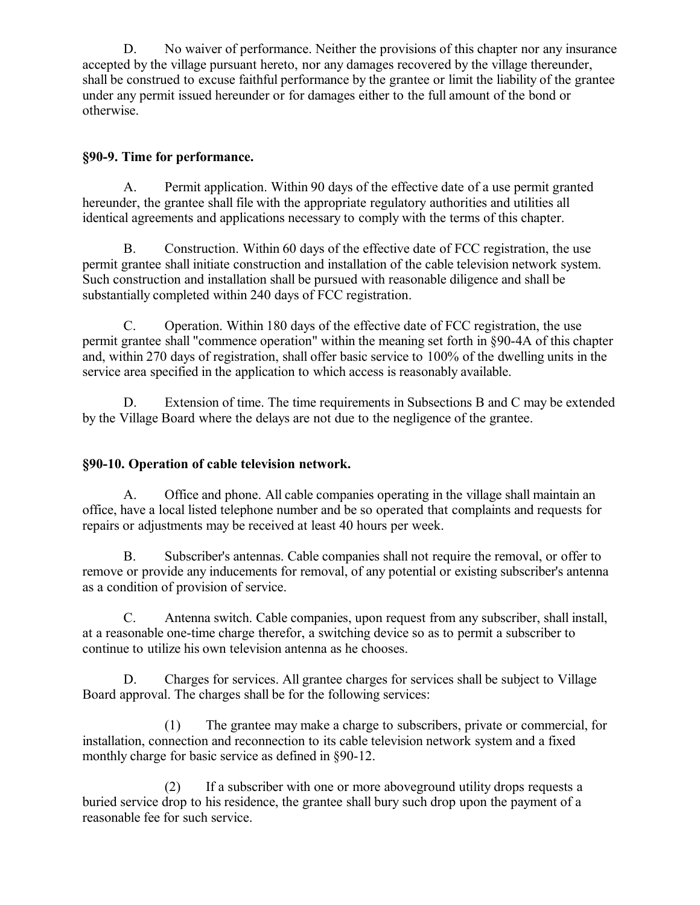D. No waiver of performance. Neither the provisions of this chapter nor any insurance accepted by the village pursuant hereto, nor any damages recovered by the village thereunder, shall be construed to excuse faithful performance by the grantee or limit the liability of the grantee under any permit issued hereunder or for damages either to the full amount of the bond or otherwise.

## **§90-9. Time for performance.**

A. Permit application. Within 90 days of the effective date of a use permit granted hereunder, the grantee shall file with the appropriate regulatory authorities and utilities all identical agreements and applications necessary to comply with the terms of this chapter.

B. Construction. Within 60 days of the effective date of FCC registration, the use permit grantee shall initiate construction and installation of the cable television network system. Such construction and installation shall be pursued with reasonable diligence and shall be substantially completed within 240 days of FCC registration.

C. Operation. Within 180 days of the effective date of FCC registration, the use permit grantee shall "commence operation" within the meaning set forth in §90-4A of this chapter and, within 270 days of registration, shall offer basic service to 100% of the dwelling units in the service area specified in the application to which access is reasonably available.

D. Extension of time. The time requirements in Subsections B and C may be extended by the Village Board where the delays are not due to the negligence of the grantee.

# **§90-10. Operation of cable television network.**

A. Office and phone. All cable companies operating in the village shall maintain an office, have a local listed telephone number and be so operated that complaints and requests for repairs or adjustments may be received at least 40 hours per week.

B. Subscriber's antennas. Cable companies shall not require the removal, or offer to remove or provide any inducements for removal, of any potential or existing subscriber's antenna as a condition of provision of service.

C. Antenna switch. Cable companies, upon request from any subscriber, shall install, at a reasonable one-time charge therefor, a switching device so as to permit a subscriber to continue to utilize his own television antenna as he chooses.

D. Charges for services. All grantee charges for services shall be subject to Village Board approval. The charges shall be for the following services:

(1) The grantee may make a charge to subscribers, private or commercial, for installation, connection and reconnection to its cable television network system and a fixed monthly charge for basic service as defined in §90-12.

(2) If a subscriber with one or more aboveground utility drops requests a buried service drop to his residence, the grantee shall bury such drop upon the payment of a reasonable fee for such service.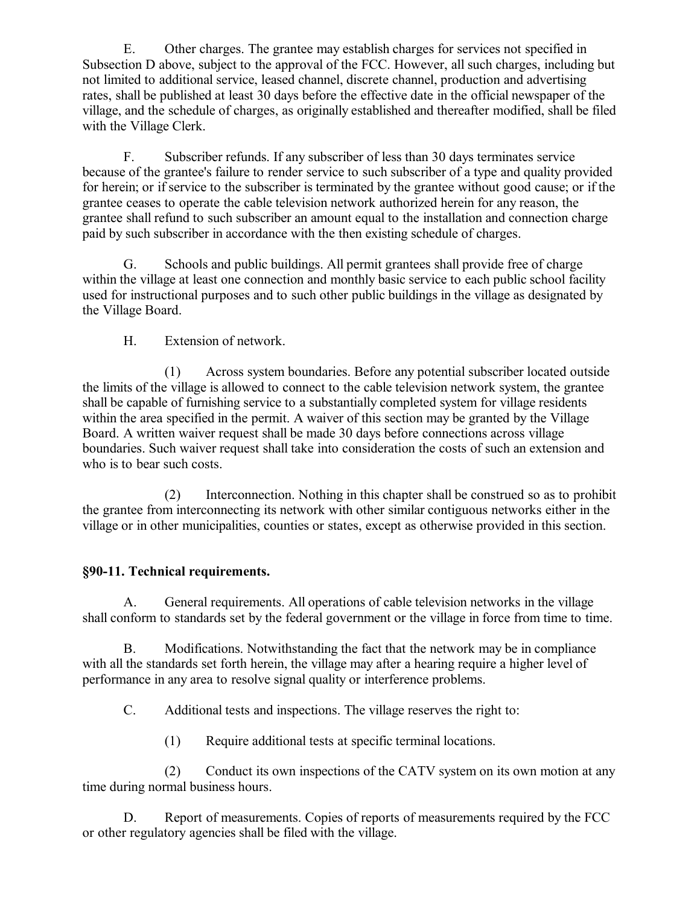E. Other charges. The grantee may establish charges for services not specified in Subsection D above, subject to the approval of the FCC. However, all such charges, including but not limited to additional service, leased channel, discrete channel, production and advertising rates, shall be published at least 30 days before the effective date in the official newspaper of the village, and the schedule of charges, as originally established and thereafter modified, shall be filed with the Village Clerk.

F. Subscriber refunds. If any subscriber of less than 30 days terminates service because of the grantee's failure to render service to such subscriber of a type and quality provided for herein; or if service to the subscriber is terminated by the grantee without good cause; or if the grantee ceases to operate the cable television network authorized herein for any reason, the grantee shall refund to such subscriber an amount equal to the installation and connection charge paid by such subscriber in accordance with the then existing schedule of charges.

G. Schools and public buildings. All permit grantees shall provide free of charge within the village at least one connection and monthly basic service to each public school facility used for instructional purposes and to such other public buildings in the village as designated by the Village Board.

H. Extension of network.

(1) Across system boundaries. Before any potential subscriber located outside the limits of the village is allowed to connect to the cable television network system, the grantee shall be capable of furnishing service to a substantially completed system for village residents within the area specified in the permit. A waiver of this section may be granted by the Village Board. A written waiver request shall be made 30 days before connections across village boundaries. Such waiver request shall take into consideration the costs of such an extension and who is to bear such costs.

(2) Interconnection. Nothing in this chapter shall be construed so as to prohibit the grantee from interconnecting its network with other similar contiguous networks either in the village or in other municipalities, counties or states, except as otherwise provided in this section.

### **§90-11. Technical requirements.**

A. General requirements. All operations of cable television networks in the village shall conform to standards set by the federal government or the village in force from time to time.

B. Modifications. Notwithstanding the fact that the network may be in compliance with all the standards set forth herein, the village may after a hearing require a higher level of performance in any area to resolve signal quality or interference problems.

C. Additional tests and inspections. The village reserves the right to:

(1) Require additional tests at specific terminal locations.

(2) Conduct its own inspections of the CATV system on its own motion at any time during normal business hours.

D. Report of measurements. Copies of reports of measurements required by the FCC or other regulatory agencies shall be filed with the village.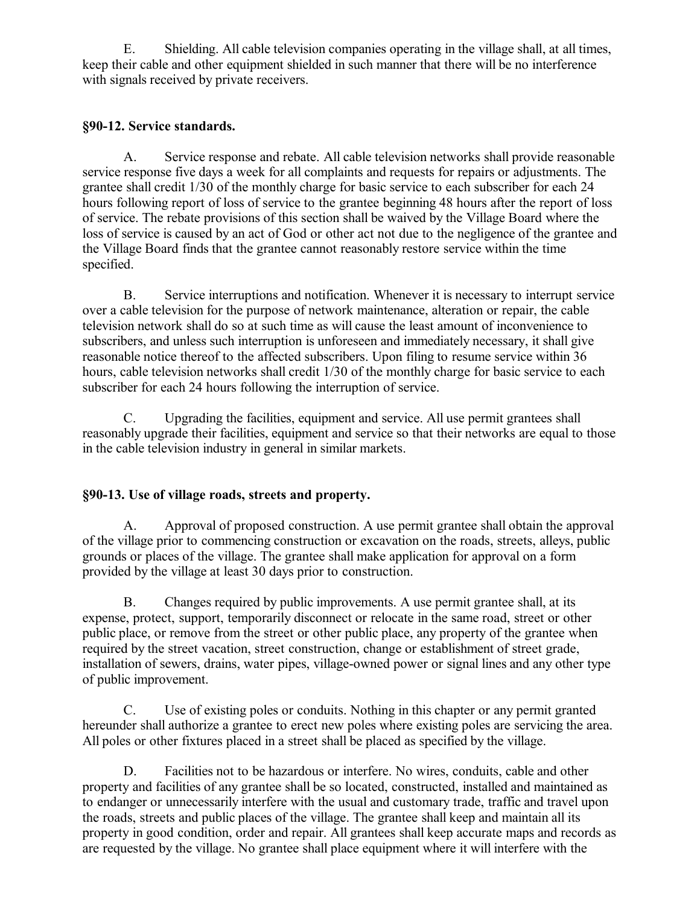E. Shielding. All cable television companies operating in the village shall, at all times, keep their cable and other equipment shielded in such manner that there will be no interference with signals received by private receivers.

## **§90-12. Service standards.**

A. Service response and rebate. All cable television networks shall provide reasonable service response five days a week for all complaints and requests for repairs or adjustments. The grantee shall credit 1/30 of the monthly charge for basic service to each subscriber for each 24 hours following report of loss of service to the grantee beginning 48 hours after the report of loss of service. The rebate provisions of this section shall be waived by the Village Board where the loss of service is caused by an act of God or other act not due to the negligence of the grantee and the Village Board finds that the grantee cannot reasonably restore service within the time specified.

B. Service interruptions and notification. Whenever it is necessary to interrupt service over a cable television for the purpose of network maintenance, alteration or repair, the cable television network shall do so at such time as will cause the least amount of inconvenience to subscribers, and unless such interruption is unforeseen and immediately necessary, it shall give reasonable notice thereof to the affected subscribers. Upon filing to resume service within 36 hours, cable television networks shall credit 1/30 of the monthly charge for basic service to each subscriber for each 24 hours following the interruption of service.

C. Upgrading the facilities, equipment and service. All use permit grantees shall reasonably upgrade their facilities, equipment and service so that their networks are equal to those in the cable television industry in general in similar markets.

# **§90-13. Use of village roads, streets and property.**

A. Approval of proposed construction. A use permit grantee shall obtain the approval of the village prior to commencing construction or excavation on the roads, streets, alleys, public grounds or places of the village. The grantee shall make application for approval on a form provided by the village at least 30 days prior to construction.

B. Changes required by public improvements. A use permit grantee shall, at its expense, protect, support, temporarily disconnect or relocate in the same road, street or other public place, or remove from the street or other public place, any property of the grantee when required by the street vacation, street construction, change or establishment of street grade, installation of sewers, drains, water pipes, village-owned power or signal lines and any other type of public improvement.

C. Use of existing poles or conduits. Nothing in this chapter or any permit granted hereunder shall authorize a grantee to erect new poles where existing poles are servicing the area. All poles or other fixtures placed in a street shall be placed as specified by the village.

D. Facilities not to be hazardous or interfere. No wires, conduits, cable and other property and facilities of any grantee shall be so located, constructed, installed and maintained as to endanger or unnecessarily interfere with the usual and customary trade, traffic and travel upon the roads, streets and public places of the village. The grantee shall keep and maintain all its property in good condition, order and repair. All grantees shall keep accurate maps and records as are requested by the village. No grantee shall place equipment where it will interfere with the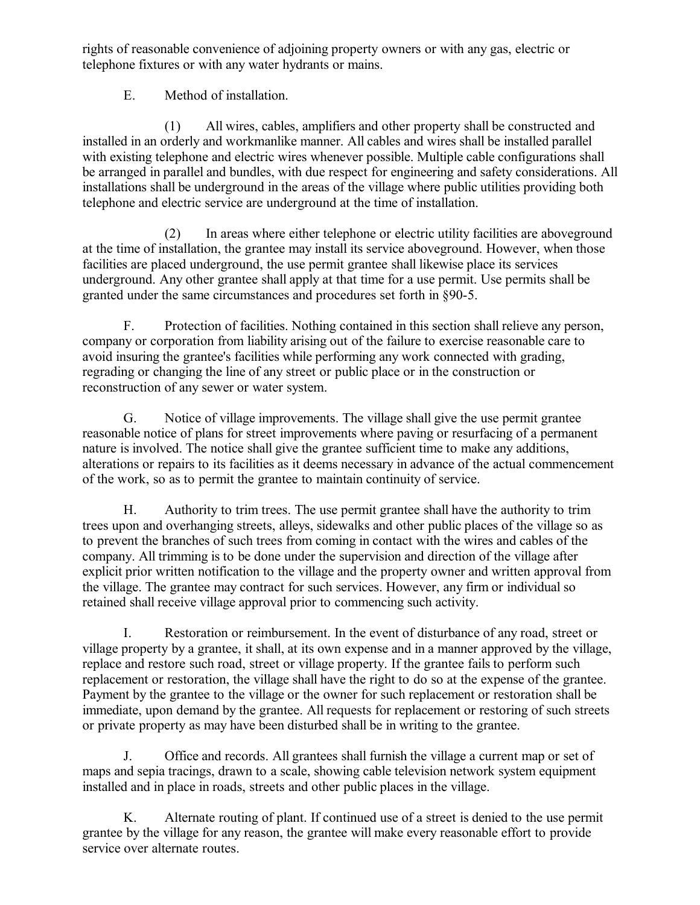rights of reasonable convenience of adjoining property owners or with any gas, electric or telephone fixtures or with any water hydrants or mains.

E. Method of installation.

(1) All wires, cables, amplifiers and other property shall be constructed and installed in an orderly and workmanlike manner. All cables and wires shall be installed parallel with existing telephone and electric wires whenever possible. Multiple cable configurations shall be arranged in parallel and bundles, with due respect for engineering and safety considerations. All installations shall be underground in the areas of the village where public utilities providing both telephone and electric service are underground at the time of installation.

(2) In areas where either telephone or electric utility facilities are aboveground at the time of installation, the grantee may install its service aboveground. However, when those facilities are placed underground, the use permit grantee shall likewise place its services underground. Any other grantee shall apply at that time for a use permit. Use permits shall be granted under the same circumstances and procedures set forth in §90-5.

F. Protection of facilities. Nothing contained in this section shall relieve any person, company or corporation from liability arising out of the failure to exercise reasonable care to avoid insuring the grantee's facilities while performing any work connected with grading, regrading or changing the line of any street or public place or in the construction or reconstruction of any sewer or water system.

G. Notice of village improvements. The village shall give the use permit grantee reasonable notice of plans for street improvements where paving or resurfacing of a permanent nature is involved. The notice shall give the grantee sufficient time to make any additions, alterations or repairs to its facilities as it deems necessary in advance of the actual commencement of the work, so as to permit the grantee to maintain continuity of service.

H. Authority to trim trees. The use permit grantee shall have the authority to trim trees upon and overhanging streets, alleys, sidewalks and other public places of the village so as to prevent the branches of such trees from coming in contact with the wires and cables of the company. All trimming is to be done under the supervision and direction of the village after explicit prior written notification to the village and the property owner and written approval from the village. The grantee may contract for such services. However, any firm or individual so retained shall receive village approval prior to commencing such activity.

I. Restoration or reimbursement. In the event of disturbance of any road, street or village property by a grantee, it shall, at its own expense and in a manner approved by the village, replace and restore such road, street or village property. If the grantee fails to perform such replacement or restoration, the village shall have the right to do so at the expense of the grantee. Payment by the grantee to the village or the owner for such replacement or restoration shall be immediate, upon demand by the grantee. All requests for replacement or restoring of such streets or private property as may have been disturbed shall be in writing to the grantee.

J. Office and records. All grantees shall furnish the village a current map or set of maps and sepia tracings, drawn to a scale, showing cable television network system equipment installed and in place in roads, streets and other public places in the village.

K. Alternate routing of plant. If continued use of a street is denied to the use permit grantee by the village for any reason, the grantee will make every reasonable effort to provide service over alternate routes.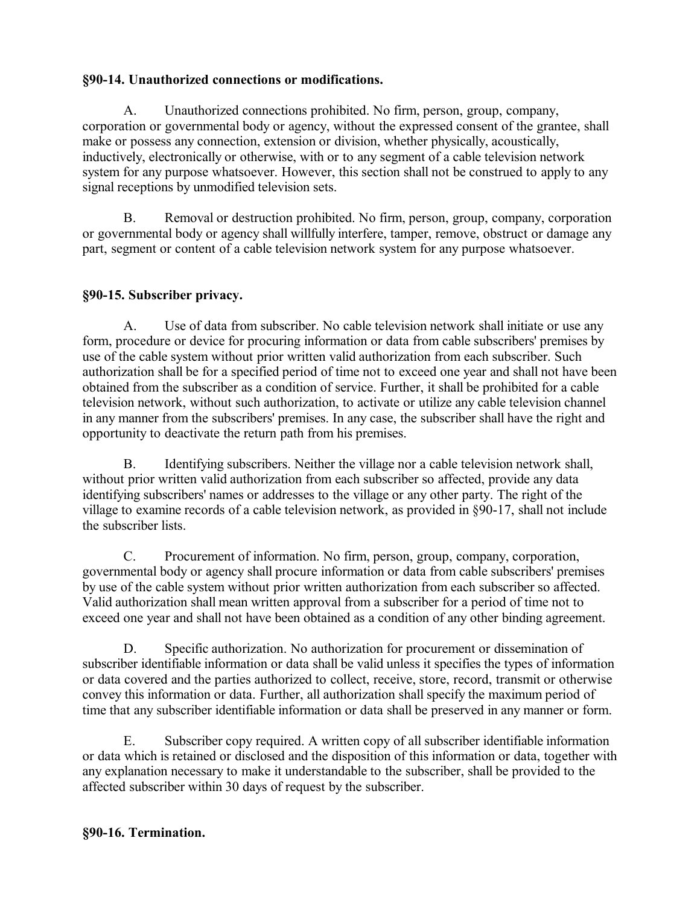## **§90-14. Unauthorized connections or modifications.**

A. Unauthorized connections prohibited. No firm, person, group, company, corporation or governmental body or agency, without the expressed consent of the grantee, shall make or possess any connection, extension or division, whether physically, acoustically, inductively, electronically or otherwise, with or to any segment of a cable television network system for any purpose whatsoever. However, this section shall not be construed to apply to any signal receptions by unmodified television sets.

B. Removal or destruction prohibited. No firm, person, group, company, corporation or governmental body or agency shall willfully interfere, tamper, remove, obstruct or damage any part, segment or content of a cable television network system for any purpose whatsoever.

# **§90-15. Subscriber privacy.**

A. Use of data from subscriber. No cable television network shall initiate or use any form, procedure or device for procuring information or data from cable subscribers' premises by use of the cable system without prior written valid authorization from each subscriber. Such authorization shall be for a specified period of time not to exceed one year and shall not have been obtained from the subscriber as a condition of service. Further, it shall be prohibited for a cable television network, without such authorization, to activate or utilize any cable television channel in any manner from the subscribers' premises. In any case, the subscriber shall have the right and opportunity to deactivate the return path from his premises.

B. Identifying subscribers. Neither the village nor a cable television network shall, without prior written valid authorization from each subscriber so affected, provide any data identifying subscribers' names or addresses to the village or any other party. The right of the village to examine records of a cable television network, as provided in §90-17, shall not include the subscriber lists.

C. Procurement of information. No firm, person, group, company, corporation, governmental body or agency shall procure information or data from cable subscribers' premises by use of the cable system without prior written authorization from each subscriber so affected. Valid authorization shall mean written approval from a subscriber for a period of time not to exceed one year and shall not have been obtained as a condition of any other binding agreement.

D. Specific authorization. No authorization for procurement or dissemination of subscriber identifiable information or data shall be valid unless it specifies the types of information or data covered and the parties authorized to collect, receive, store, record, transmit or otherwise convey this information or data. Further, all authorization shall specify the maximum period of time that any subscriber identifiable information or data shall be preserved in any manner or form.

E. Subscriber copy required. A written copy of all subscriber identifiable information or data which is retained or disclosed and the disposition of this information or data, together with any explanation necessary to make it understandable to the subscriber, shall be provided to the affected subscriber within 30 days of request by the subscriber.

### **§90-16. Termination.**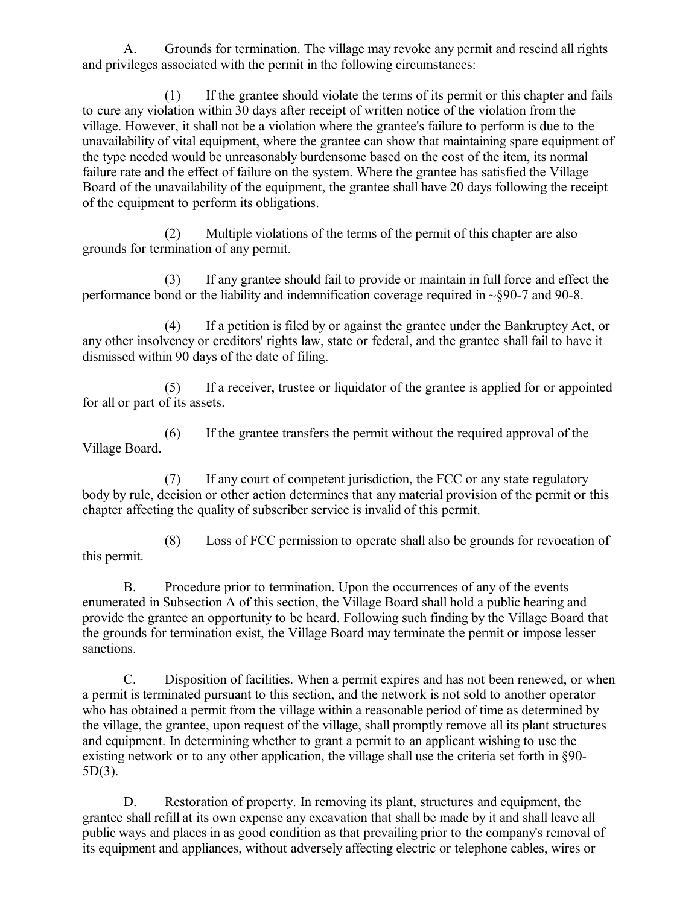A. Grounds for termination. The village may revoke any permit and rescind all rights and privileges associated with the permit in the following circumstances:

(1) If the grantee should violate the terms of its permit or this chapter and fails to cure any violation within 30 days after receipt of written notice of the violation from the village. However, it shall not be a violation where the grantee's failure to perform is due to the unavailability of vital equipment, where the grantee can show that maintaining spare equipment of the type needed would be unreasonably burdensome based on the cost of the item, its normal failure rate and the effect of failure on the system. Where the grantee has satisfied the Village Board of the unavailability of the equipment, the grantee shall have 20 days following the receipt of the equipment to perform its obligations.

(2) Multiple violations of the terms of the permit of this chapter are also grounds for termination of any permit.

(3) If any grantee should fail to provide or maintain in full force and effect the performance bond or the liability and indemnification coverage required in ~§90-7 and 90-8.

(4) If a petition is filed by or against the grantee under the Bankruptcy Act, or any other insolvency or creditors' rights law, state or federal, and the grantee shall fail to have it dismissed within 90 days of the date of filing.

(5) If a receiver, trustee or liquidator of the grantee is applied for or appointed for all or part of its assets.

(6) If the grantee transfers the permit without the required approval of the Village Board.

(7) If any court of competent jurisdiction, the FCC or any state regulatory body by rule, decision or other action determines that any material provision of the permit or this chapter affecting the quality of subscriber service is invalid of this permit.

(8) Loss of FCC permission to operate shall also be grounds for revocation of this permit.

B. Procedure prior to termination. Upon the occurrences of any of the events enumerated in Subsection A of this section, the Village Board shall hold a public hearing and provide the grantee an opportunity to be heard. Following such finding by the Village Board that the grounds for termination exist, the Village Board may terminate the permit or impose lesser sanctions.

C. Disposition of facilities. When a permit expires and has not been renewed, or when a permit is terminated pursuant to this section, and the network is not sold to another operator who has obtained a permit from the village within a reasonable period of time as determined by the village, the grantee, upon request of the village, shall promptly remove all its plant structures and equipment. In determining whether to grant a permit to an applicant wishing to use the existing network or to any other application, the village shall use the criteria set forth in §90- 5D(3).

D. Restoration of property. In removing its plant, structures and equipment, the grantee shall refill at its own expense any excavation that shall be made by it and shall leave all public ways and places in as good condition as that prevailing prior to the company's removal of its equipment and appliances, without adversely affecting electric or telephone cables, wires or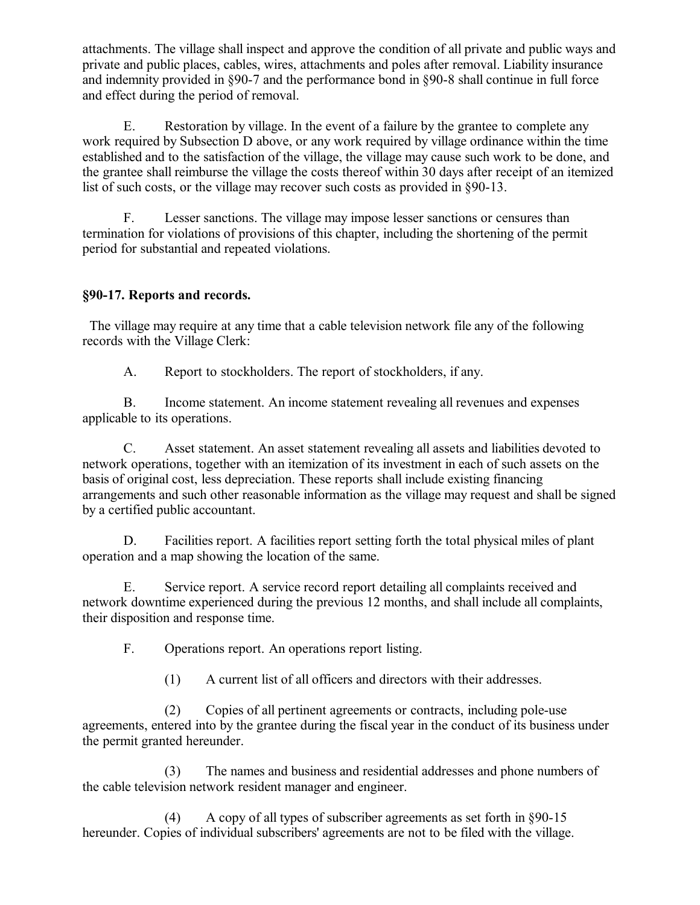attachments. The village shall inspect and approve the condition of all private and public ways and private and public places, cables, wires, attachments and poles after removal. Liability insurance and indemnity provided in §90-7 and the performance bond in §90-8 shall continue in full force and effect during the period of removal.

E. Restoration by village. In the event of a failure by the grantee to complete any work required by Subsection D above, or any work required by village ordinance within the time established and to the satisfaction of the village, the village may cause such work to be done, and the grantee shall reimburse the village the costs thereof within 30 days after receipt of an itemized list of such costs, or the village may recover such costs as provided in §90-13.

F. Lesser sanctions. The village may impose lesser sanctions or censures than termination for violations of provisions of this chapter, including the shortening of the permit period for substantial and repeated violations.

## **§90-17. Reports and records.**

 The village may require at any time that a cable television network file any of the following records with the Village Clerk:

A. Report to stockholders. The report of stockholders, if any.

B. Income statement. An income statement revealing all revenues and expenses applicable to its operations.

C. Asset statement. An asset statement revealing all assets and liabilities devoted to network operations, together with an itemization of its investment in each of such assets on the basis of original cost, less depreciation. These reports shall include existing financing arrangements and such other reasonable information as the village may request and shall be signed by a certified public accountant.

D. Facilities report. A facilities report setting forth the total physical miles of plant operation and a map showing the location of the same.

E. Service report. A service record report detailing all complaints received and network downtime experienced during the previous 12 months, and shall include all complaints, their disposition and response time.

F. Operations report. An operations report listing.

(1) A current list of all officers and directors with their addresses.

(2) Copies of all pertinent agreements or contracts, including pole-use agreements, entered into by the grantee during the fiscal year in the conduct of its business under the permit granted hereunder.

(3) The names and business and residential addresses and phone numbers of the cable television network resident manager and engineer.

(4) A copy of all types of subscriber agreements as set forth in §90-15 hereunder. Copies of individual subscribers' agreements are not to be filed with the village.